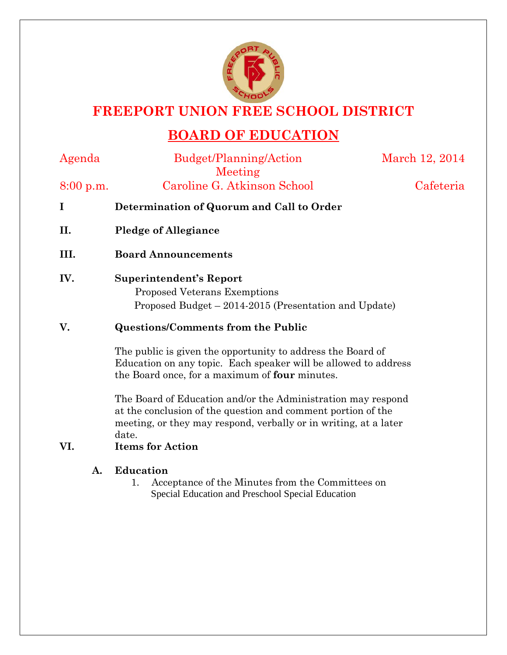

## **FREEPORT UNION FREE SCHOOL DISTRICT**

# **BOARD OF EDUCATION**

|  | ı |
|--|---|

Budget/Planning/Action Meeting

March 12, 2014

8:00 p.m. Caroline G. Atkinson School Cafeteria

- **I Determination of Quorum and Call to Order**
- **II. Pledge of Allegiance**
- **III. Board Announcements**
- **IV. Superintendent's Report**

 Proposed Veterans Exemptions Proposed Budget – 2014-2015 (Presentation and Update)

### **V. Questions/Comments from the Public**

The public is given the opportunity to address the Board of Education on any topic. Each speaker will be allowed to address the Board once, for a maximum of **four** minutes.

The Board of Education and/or the Administration may respond at the conclusion of the question and comment portion of the meeting, or they may respond, verbally or in writing, at a later date.

## **VI. Items for Action**

### **A. Education**

1. Acceptance of the Minutes from the Committees on Special Education and Preschool Special Education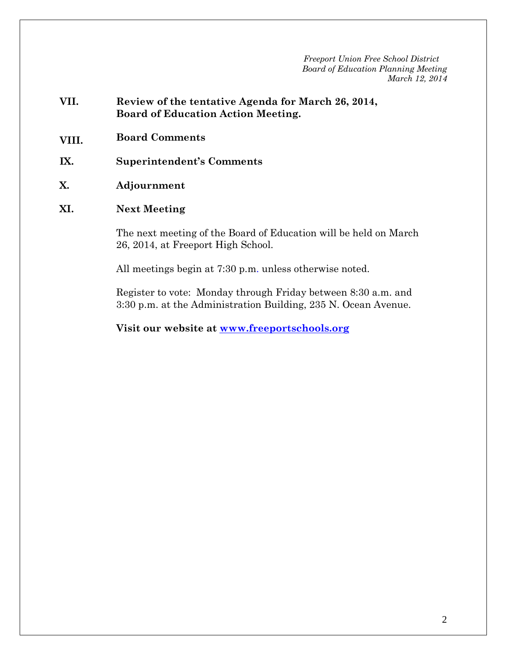*Freeport Union Free School District Board of Education Planning Meeting March 12, 2014*

- **VII. Review of the tentative Agenda for March 26, 2014, Board of Education Action Meeting.**
- **VIII. Board Comments**
- **IX. Superintendent's Comments**
- **X. Adjournment**
- **XI. Next Meeting**

The next meeting of the Board of Education will be held on March 26, 2014, at Freeport High School.

All meetings begin at 7:30 p.m. unless otherwise noted.

Register to vote: Monday through Friday between 8:30 a.m. and 3:30 p.m. at the Administration Building, 235 N. Ocean Avenue.

**Visit our website at [www.freeportschools.org](http://www.freeportschools.org/)**